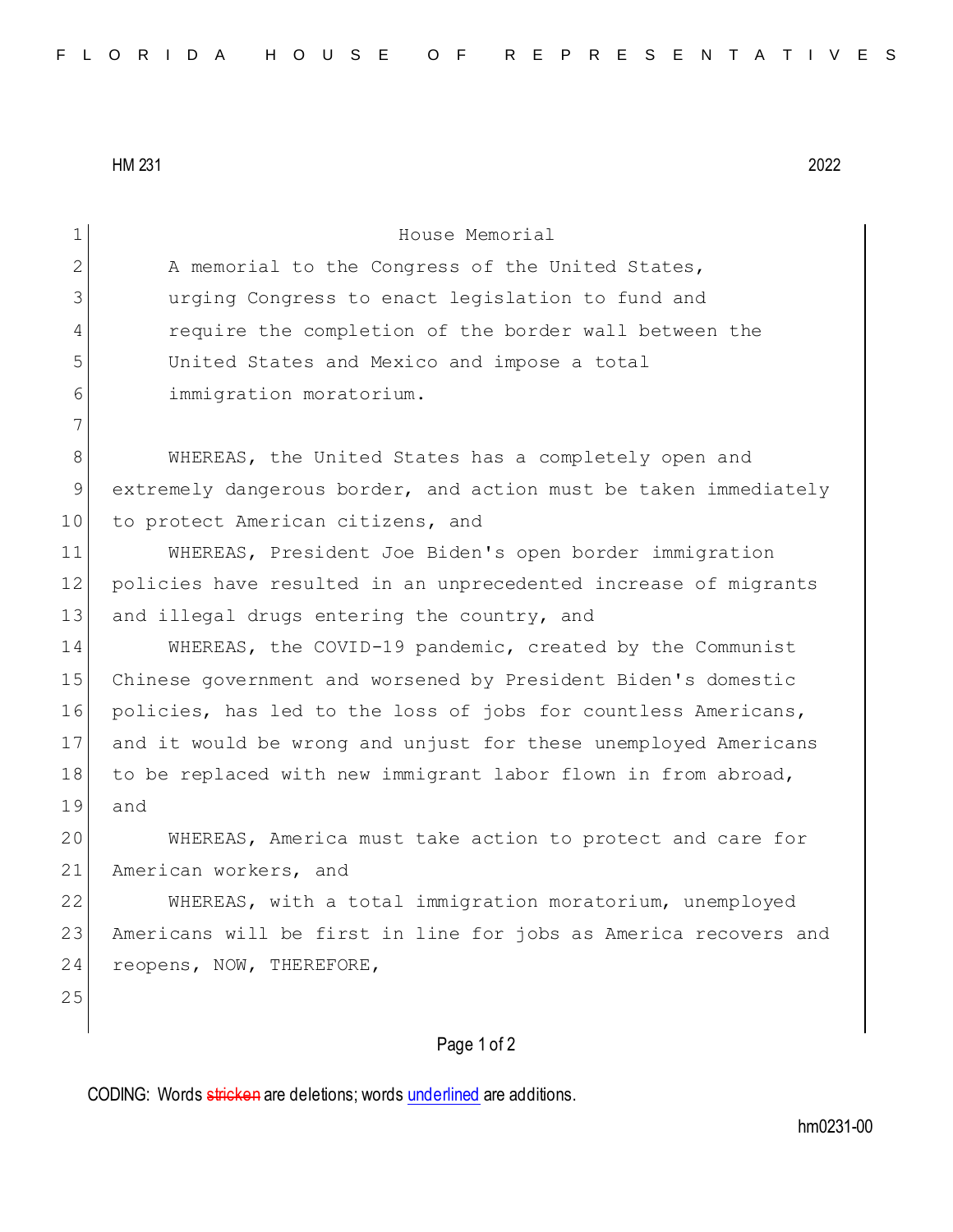HM 231 2022

Page 1 of 2 1 House Memorial 2 A memorial to the Congress of the United States, 3 3 3 urging Congress to enact legislation to fund and 4 require the completion of the border wall between the 5 United States and Mexico and impose a total 6 immigration moratorium. 7 8 WHEREAS, the United States has a completely open and 9 extremely dangerous border, and action must be taken immediately 10 to protect American citizens, and 11 WHEREAS, President Joe Biden's open border immigration 12 policies have resulted in an unprecedented increase of migrants 13 and illegal drugs entering the country, and 14 WHEREAS, the COVID-19 pandemic, created by the Communist 15 Chinese government and worsened by President Biden's domestic 16 policies, has led to the loss of jobs for countless Americans, 17 and it would be wrong and unjust for these unemployed Americans 18 to be replaced with new immigrant labor flown in from abroad, 19 and 20 WHEREAS, America must take action to protect and care for 21 American workers, and 22 WHEREAS, with a total immigration moratorium, unemployed 23 Americans will be first in line for jobs as America recovers and 24 reopens, NOW, THEREFORE, 25

CODING: Words stricken are deletions; words underlined are additions.